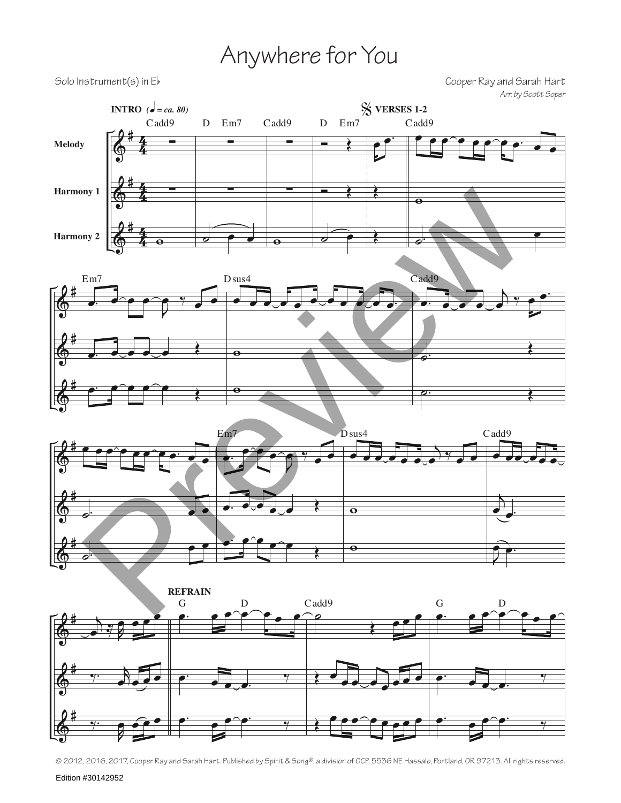## Anywhere for You

Solo Instrument(s) in Eb Cooper Ray and Sarah Hart *Arr. by Scott Soper*



© 2012, 2016, 2017, Cooper Ray and Sarah Hart. Published by Spirit & Song®, a division of OCP, 5536 NE Hassalo, Portland, OR 97213. All rights reserved.

Edition #30142952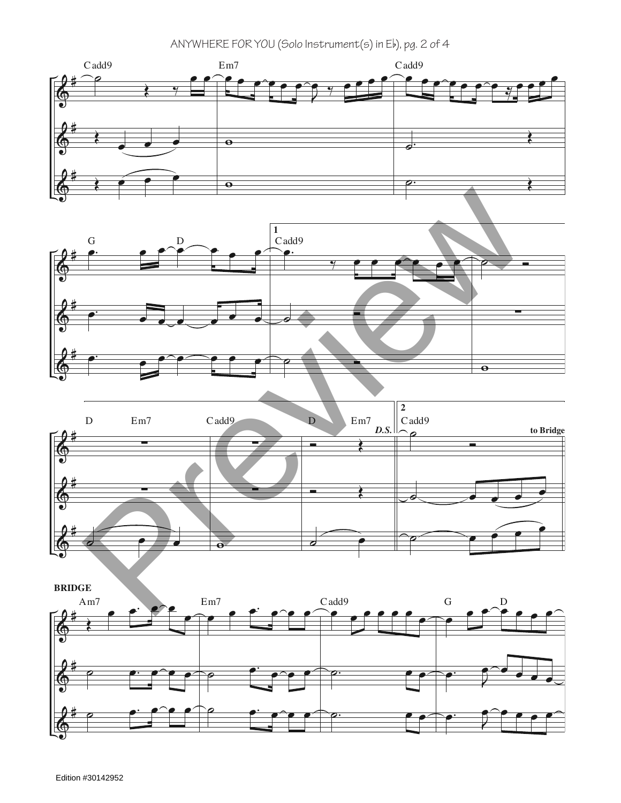ANYWHERE FOR YOU (Solo Instrument(s) in Eb), pg. 2 of 4







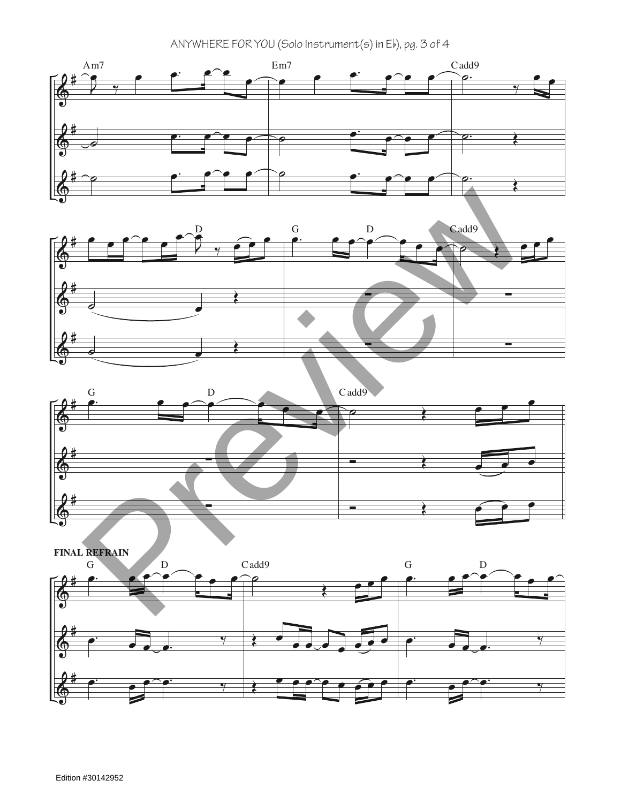ANYWHERE FOR YOU (Solo Instrument(s) in Eb), pg. 3 of 4



![](_page_2_Figure_2.jpeg)

![](_page_2_Figure_3.jpeg)

![](_page_2_Figure_4.jpeg)